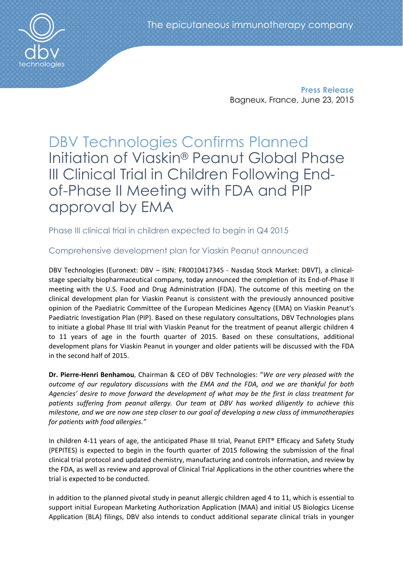Press Release Bagneux, France, June 23, 2015

DBV Technologies Confirms Planned Initiation of Viaskin® Peanut Global Phase III Clinical Trial in Children Following Endof-Phase II Meeting with FDA and PIP approval by EMA

Phase III clinical trial in children expected to begin in Q4 2015

# Comprehensive development plan for Viaskin Peanut announced

DBV Technologies (Euronext: DBV – ISIN: FR0010417345 - Nasdaq Stock Market: DBVT), a clinicalstage specialty biopharmaceutical company, today announced the completion of its End-of-Phase II meeting with the U.S. Food and Drug Administration (FDA). The outcome of this meeting on the clinical development plan for Viaskin Peanut is consistent with the previously announced positive opinion of the Paediatric Committee of the European Medicines Agency (EMA) on Viaskin Peanut's Paediatric Investigation Plan (PIP). Based on these regulatory consultations, DBV Technologies plans to initiate a global Phase III trial with Viaskin Peanut for the treatment of peanut allergic children 4 to 11 years of age in the fourth quarter of 2015. Based on these consultations, additional development plans for Viaskin Peanut in younger and older patients will be discussed with the FDA in the second half of 2015.

Dr. Pierre-Henri Benhamou, Chairman & CEO of DBV Technologies: "*We are very pleased with the outcome of our regulatory discussions with the EMA and the FDA, and we are thankful for both Agencies' desire to move forward the development of what may be the first in class treatment for patients suffering from peanut allergy. Our team at DBV has worked diligently to achieve this milestone, and we are now one step closer to our goal of developing a new class of immunotherapies for patients with food allergies."* 

In children 4-11 years of age, the anticipated Phase III trial, Peanut EPIT® Efficacy and Safety Study (PEPITES) is expected to begin in the fourth quarter of 2015 following the submission of the final clinical trial protocol and updated chemistry, manufacturing and controls information, and review by the FDA, as well as review and approval of Clinical Trial Applications in the other countries where the trial is expected to be conducted.

In addition to the planned pivotal study in peanut allergic children aged 4 to 11, which is essential to support initial European Marketing Authorization Application (MAA) and initial US Biologics License Application (BLA) filings, DBV also intends to conduct additional separate clinical trials in younger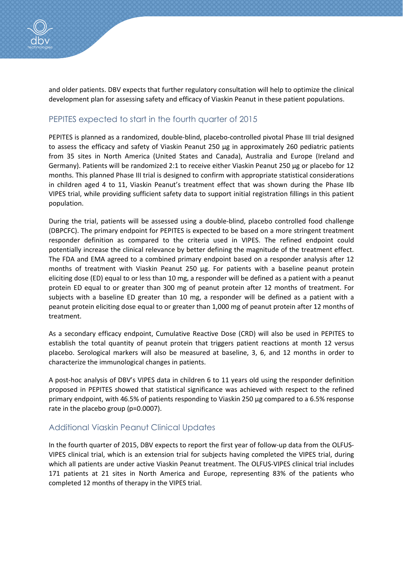and older patients. DBV expects that further regulatory consultation will help to optimize the clinical development plan for assessing safety and efficacy of Viaskin Peanut in these patient populations.

## PEPITES expected to start in the fourth quarter of 2015

PEPITES is planned as a randomized, double-blind, placebo-controlled pivotal Phase III trial designed to assess the efficacy and safety of Viaskin Peanut 250 μg in approximately 260 pediatric patients from 35 sites in North America (United States and Canada), Australia and Europe (Ireland and Germany). Patients will be randomized 2:1 to receive either Viaskin Peanut 250 μg or placebo for 12 months. This planned Phase III trial is designed to confirm with appropriate statistical considerations in children aged 4 to 11, Viaskin Peanut's treatment effect that was shown during the Phase IIb VIPES trial, while providing sufficient safety data to support initial registration fillings in this patient population.

During the trial, patients will be assessed using a double-blind, placebo controlled food challenge (DBPCFC). The primary endpoint for PEPITES is expected to be based on a more stringent treatment responder definition as compared to the criteria used in VIPES. The refined endpoint could potentially increase the clinical relevance by better defining the magnitude of the treatment effect. The FDA and EMA agreed to a combined primary endpoint based on a responder analysis after 12 months of treatment with Viaskin Peanut 250 µg. For patients with a baseline peanut protein eliciting dose (ED) equal to or less than 10 mg, a responder will be defined as a patient with a peanut protein ED equal to or greater than 300 mg of peanut protein after 12 months of treatment. For subjects with a baseline ED greater than 10 mg, a responder will be defined as a patient with a peanut protein eliciting dose equal to or greater than 1,000 mg of peanut protein after 12 months of treatment.

As a secondary efficacy endpoint, Cumulative Reactive Dose (CRD) will also be used in PEPITES to establish the total quantity of peanut protein that triggers patient reactions at month 12 versus placebo. Serological markers will also be measured at baseline, 3, 6, and 12 months in order to characterize the immunological changes in patients.

A post-hoc analysis of DBV's VIPES data in children 6 to 11 years old using the responder definition proposed in PEPITES showed that statistical significance was achieved with respect to the refined primary endpoint, with 46.5% of patients responding to Viaskin 250 µg compared to a 6.5% response rate in the placebo group (p=0.0007).

## Additional Viaskin Peanut Clinical Updates

In the fourth quarter of 2015, DBV expects to report the first year of follow-up data from the OLFUS-VIPES clinical trial, which is an extension trial for subjects having completed the VIPES trial, during which all patients are under active Viaskin Peanut treatment. The OLFUS-VIPES clinical trial includes 171 patients at 21 sites in North America and Europe, representing 83% of the patients who completed 12 months of therapy in the VIPES trial.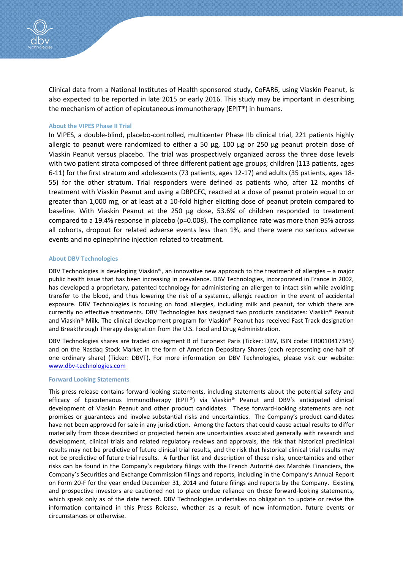Clinical data from a National Institutes of Health sponsored study, CoFAR6, using Viaskin Peanut, is also expected to be reported in late 2015 or early 2016. This study may be important in describing the mechanism of action of epicutaneous immunotherapy (EPIT®) in humans.

### About the VIPES Phase II Trial

In VIPES, a double-blind, placebo-controlled, multicenter Phase IIb clinical trial, 221 patients highly allergic to peanut were randomized to either a 50  $\mu$ g, 100  $\mu$ g or 250  $\mu$ g peanut protein dose of Viaskin Peanut versus placebo. The trial was prospectively organized across the three dose levels with two patient strata composed of three different patient age groups; children (113 patients, ages 6-11) for the first stratum and adolescents (73 patients, ages 12-17) and adults (35 patients, ages 18- 55) for the other stratum. Trial responders were defined as patients who, after 12 months of treatment with Viaskin Peanut and using a DBPCFC, reacted at a dose of peanut protein equal to or greater than 1,000 mg, or at least at a 10-fold higher eliciting dose of peanut protein compared to baseline. With Viaskin Peanut at the 250 µg dose, 53.6% of children responded to treatment compared to a 19.4% response in placebo (p=0.008). The compliance rate was more than 95% across all cohorts, dropout for related adverse events less than 1%, and there were no serious adverse events and no epinephrine injection related to treatment.

#### About DBV Technologies

DBV Technologies is developing Viaskin®, an innovative new approach to the treatment of allergies – a major public health issue that has been increasing in prevalence. DBV Technologies, incorporated in France in 2002, has developed a proprietary, patented technology for administering an allergen to intact skin while avoiding transfer to the blood, and thus lowering the risk of a systemic, allergic reaction in the event of accidental exposure. DBV Technologies is focusing on food allergies, including milk and peanut, for which there are currently no effective treatments. DBV Technologies has designed two products candidates: Viaskin® Peanut and Viaskin® Milk. The clinical development program for Viaskin® Peanut has received Fast Track designation and Breakthrough Therapy designation from the U.S. Food and Drug Administration.

DBV Technologies shares are traded on segment B of Euronext Paris (Ticker: DBV, ISIN code: FR0010417345) and on the Nasdaq Stock Market in the form of American Depositary Shares (each representing one-half of one ordinary share) (Ticker: DBVT). For more information on DBV Technologies, please visit our website: www.dbv-technologies.com

#### Forward Looking Statements

This press release contains forward-looking statements, including statements about the potential safety and efficacy of Epicutenaous Immunotherapy (EPIT®) via Viaskin® Peanut and DBV's anticipated clinical development of Viaskin Peanut and other product candidates. These forward-looking statements are not promises or guarantees and involve substantial risks and uncertainties. The Company's product candidates have not been approved for sale in any jurisdiction. Among the factors that could cause actual results to differ materially from those described or projected herein are uncertainties associated generally with research and development, clinical trials and related regulatory reviews and approvals, the risk that historical preclinical results may not be predictive of future clinical trial results, and the risk that historical clinical trial results may not be predictive of future trial results. A further list and description of these risks, uncertainties and other risks can be found in the Company's regulatory filings with the French Autorité des Marchés Financiers, the Company's Securities and Exchange Commission filings and reports, including in the Company's Annual Report on Form 20-F for the year ended December 31, 2014 and future filings and reports by the Company. Existing and prospective investors are cautioned not to place undue reliance on these forward-looking statements, which speak only as of the date hereof. DBV Technologies undertakes no obligation to update or revise the information contained in this Press Release, whether as a result of new information, future events or circumstances or otherwise.